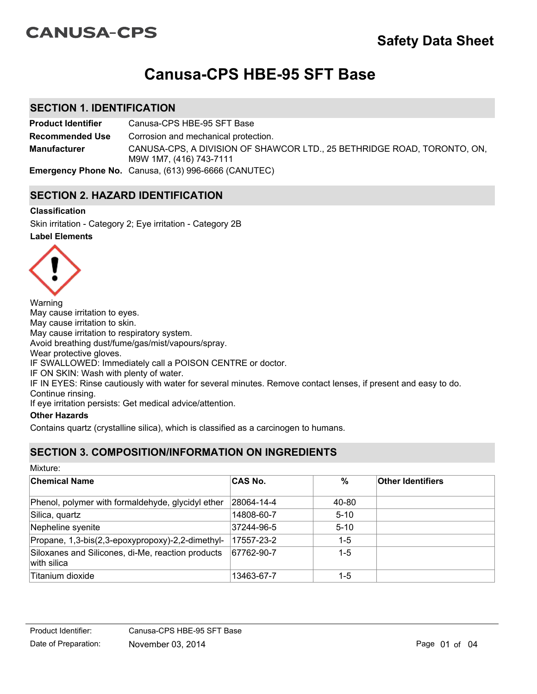# **CANUSA-CPS**

# **Canusa-CPS HBE-95 SFT Base**

## **SECTION 1. IDENTIFICATION**

**Product Identifier** Canusa-CPS HBE-95 SFT Base CANUSA-CPS, A DIVISION OF SHAWCOR LTD., 25 BETHRIDGE ROAD, TORONTO, ON, M9W 1M7, (416) 743-7111 **Recommended Use Emergency Phone No.** Canusa, (613) 996-6666 (CANUTEC) **Manufacturer** Corrosion and mechanical protection.

# **SECTION 2. HAZARD IDENTIFICATION**

#### **Classification**

**Label Elements** Skin irritation - Category 2; Eye irritation - Category 2B



Warning May cause irritation to eyes. May cause irritation to skin. May cause irritation to respiratory system. Avoid breathing dust/fume/gas/mist/vapours/spray. Wear protective gloves. IF SWALLOWED: Immediately call a POISON CENTRE or doctor. IF ON SKIN: Wash with plenty of water. IF IN EYES: Rinse cautiously with water for several minutes. Remove contact lenses, if present and easy to do. Continue rinsing.

If eye irritation persists: Get medical advice/attention.

#### **Other Hazards**

Contains quartz (crystalline silica), which is classified as a carcinogen to humans.

# **SECTION 3. COMPOSITION/INFORMATION ON INGREDIENTS**

Mixture:

| <b>Chemical Name</b>                                             | <b>CAS No.</b> | %        | <b>Other Identifiers</b> |
|------------------------------------------------------------------|----------------|----------|--------------------------|
| Phenol, polymer with formaldehyde, glycidyl ether                | 28064-14-4     | 40-80    |                          |
| Silica, quartz                                                   | 14808-60-7     | $5 - 10$ |                          |
| Nepheline syenite                                                | 37244-96-5     | $5 - 10$ |                          |
| Propane, 1,3-bis(2,3-epoxypropoxy)-2,2-dimethyl-                 | 17557-23-2     | $1-5$    |                          |
| Siloxanes and Silicones, di-Me, reaction products<br>with silica | 67762-90-7     | $1-5$    |                          |
| Titanium dioxide                                                 | 13463-67-7     | 1-5      |                          |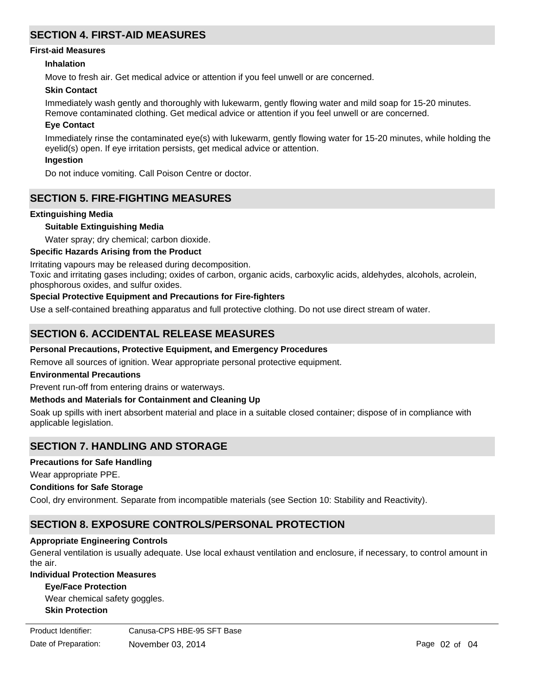# **SECTION 4. FIRST-AID MEASURES**

#### **First-aid Measures**

#### **Inhalation**

Move to fresh air. Get medical advice or attention if you feel unwell or are concerned.

#### **Skin Contact**

Immediately wash gently and thoroughly with lukewarm, gently flowing water and mild soap for 15-20 minutes. Remove contaminated clothing. Get medical advice or attention if you feel unwell or are concerned.

#### **Eye Contact**

Immediately rinse the contaminated eye(s) with lukewarm, gently flowing water for 15-20 minutes, while holding the eyelid(s) open. If eye irritation persists, get medical advice or attention. **Ingestion**

Do not induce vomiting. Call Poison Centre or doctor.

## **SECTION 5. FIRE-FIGHTING MEASURES**

#### **Extinguishing Media**

#### **Suitable Extinguishing Media**

Water spray; dry chemical; carbon dioxide.

#### **Specific Hazards Arising from the Product**

Irritating vapours may be released during decomposition.

Toxic and irritating gases including; oxides of carbon, organic acids, carboxylic acids, aldehydes, alcohols, acrolein, phosphorous oxides, and sulfur oxides.

#### **Special Protective Equipment and Precautions for Fire-fighters**

Use a self-contained breathing apparatus and full protective clothing. Do not use direct stream of water.

## **SECTION 6. ACCIDENTAL RELEASE MEASURES**

#### **Personal Precautions, Protective Equipment, and Emergency Procedures**

Remove all sources of ignition. Wear appropriate personal protective equipment.

#### **Environmental Precautions**

Prevent run-off from entering drains or waterways.

#### **Methods and Materials for Containment and Cleaning Up**

Soak up spills with inert absorbent material and place in a suitable closed container; dispose of in compliance with applicable legislation.

## **SECTION 7. HANDLING AND STORAGE**

#### **Precautions for Safe Handling**

Wear appropriate PPE.

#### **Conditions for Safe Storage**

Cool, dry environment. Separate from incompatible materials (see Section 10: Stability and Reactivity).

## **SECTION 8. EXPOSURE CONTROLS/PERSONAL PROTECTION**

#### **Appropriate Engineering Controls**

General ventilation is usually adequate. Use local exhaust ventilation and enclosure, if necessary, to control amount in the air.

#### **Individual Protection Measures**

#### **Eye/Face Protection**

**Skin Protection** Wear chemical safety goggles.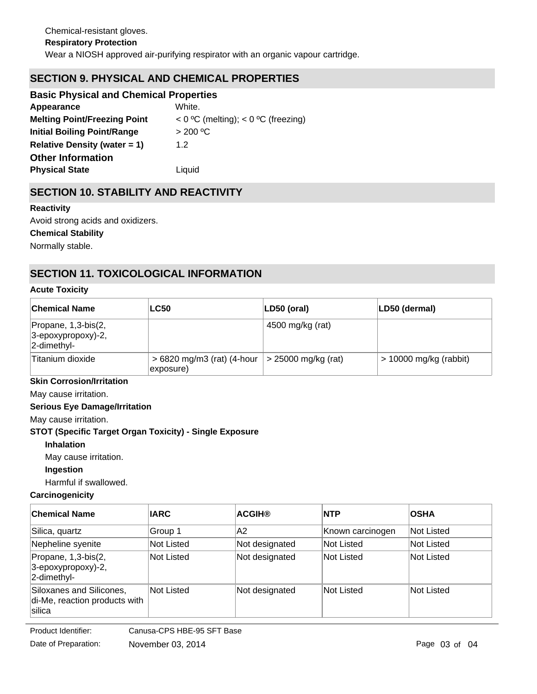# **SECTION 9. PHYSICAL AND CHEMICAL PROPERTIES**

| <b>Basic Physical and Chemical Properties</b> |                                         |
|-----------------------------------------------|-----------------------------------------|
| Appearance                                    | White.                                  |
| <b>Melting Point/Freezing Point</b>           | $<$ 0 °C (melting); $<$ 0 °C (freezing) |
| <b>Initial Boiling Point/Range</b>            | > 200 °C                                |
| Relative Density (water $= 1$ )               | 1.2                                     |
| <b>Other Information</b>                      |                                         |
| <b>Physical State</b>                         | Liquid                                  |

# **SECTION 10. STABILITY AND REACTIVITY**

#### **Reactivity**

Avoid strong acids and oxidizers.

#### **Chemical Stability**

Normally stable.

# **SECTION 11. TOXICOLOGICAL INFORMATION**

#### **Acute Toxicity**

| <b>Chemical Name</b>                                             | <b>LC50</b>                              | LD50 (oral)           | LD50 (dermal)            |
|------------------------------------------------------------------|------------------------------------------|-----------------------|--------------------------|
| Propane, 1,3-bis(2,<br>$ 3$ -epoxypropoxy)-2,<br>$ 2$ -dimethyl- |                                          | 4500 mg/kg (rat)      |                          |
| Titanium dioxide                                                 | $>6820$ mg/m3 (rat) (4-hour<br>exposure) | $>$ 25000 mg/kg (rat) | $> 10000$ mg/kg (rabbit) |

## **Skin Corrosion/Irritation**

May cause irritation.

#### **Serious Eye Damage/Irritation**

May cause irritation.

#### **STOT (Specific Target Organ Toxicity) - Single Exposure**

#### **Inhalation**

May cause irritation.

#### **Ingestion**

Harmful if swallowed.

#### **Carcinogenicity**

| ∣Chemical Name                                                      | <b>IARC</b> | <b>ACGIH®</b>  | <b>INTP</b>      | <b>OSHA</b> |
|---------------------------------------------------------------------|-------------|----------------|------------------|-------------|
| Silica, quartz                                                      | Group 1     | A2             | Known carcinogen | Not Listed  |
| Nepheline syenite                                                   | Not Listed  | Not designated | Not Listed       | Not Listed  |
| Propane, 1,3-bis(2,<br>$3$ -epoxypropoxy)-2,<br>2-dimethyl-         | Not Listed  | Not designated | Not Listed       | Not Listed  |
| Siloxanes and Silicones,<br>di-Me, reaction products with<br>silica | Not Listed  | Not designated | lNot Listed      | Not Listed  |

Product Identifier: Canusa-CPS HBE-95 SFT Base